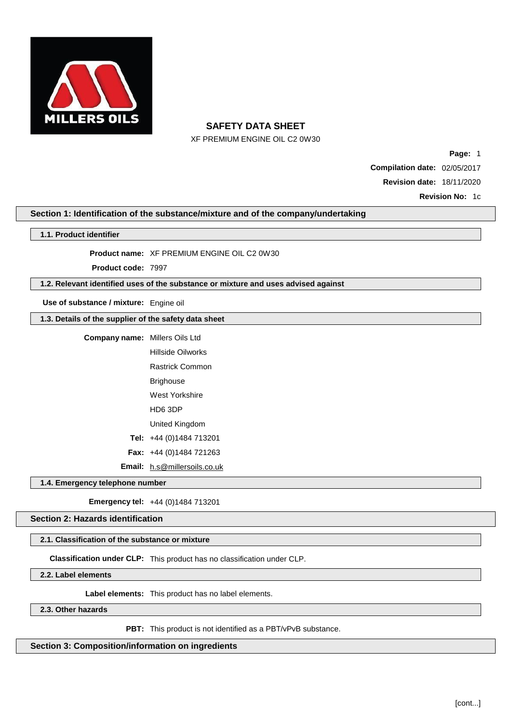

XF PREMIUM ENGINE OIL C2 0W30

**Page:** 1 **Compilation date:** 02/05/2017 **Revision date:** 18/11/2020

**Revision No:** 1c

## **Section 1: Identification of the substance/mixture and of the company/undertaking**

# **1.1. Product identifier Product name:** XF PREMIUM ENGINE OIL C2 0W30 **Product code:** 7997 **1.2. Relevant identified uses of the substance or mixture and uses advised against**

**Use of substance / mixture:** Engine oil

**1.3. Details of the supplier of the safety data sheet**

| <b>Company name:</b> | Millers Oils Ltd                    |
|----------------------|-------------------------------------|
|                      | Hillside Oilworks                   |
|                      | Rastrick Common                     |
|                      | Brighouse                           |
|                      | West Yorkshire                      |
|                      | HD6 3DP                             |
|                      | United Kingdom                      |
|                      | Tel: $+44(0)1484713201$             |
|                      | <b>Fax:</b> $+44$ (0)1484 721263    |
|                      | <b>Email:</b> h.s@millersoils.co.uk |

**1.4. Emergency telephone number**

**Emergency tel:** +44 (0)1484 713201

**Section 2: Hazards identification**

## **2.1. Classification of the substance or mixture**

**Classification under CLP:** This product has no classification under CLP.

**2.2. Label elements**

**Label elements:** This product has no label elements.

**2.3. Other hazards**

**PBT:** This product is not identified as a PBT/vPvB substance.

**Section 3: Composition/information on ingredients**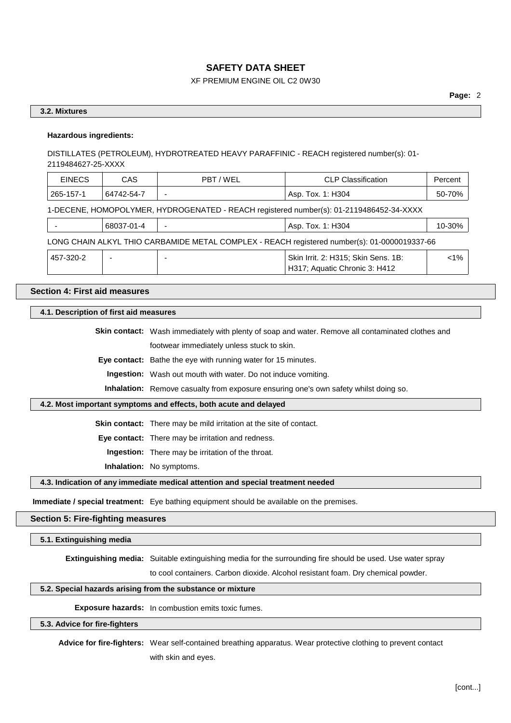## XF PREMIUM ENGINE OIL C2 0W30

## **3.2. Mixtures**

## **Hazardous ingredients:**

DISTILLATES (PETROLEUM), HYDROTREATED HEAVY PARAFFINIC - REACH registered number(s): 01- 2119484627-25-XXXX

| <b>EINECS</b>                                                                                | CAS        | PBT/WEL | <b>CLP Classification</b>                                            | Percent |
|----------------------------------------------------------------------------------------------|------------|---------|----------------------------------------------------------------------|---------|
| 265-157-1                                                                                    | 64742-54-7 |         | Asp. Tox. 1: H304                                                    | 50-70%  |
| 1-DECENE, HOMOPOLYMER, HYDROGENATED - REACH registered number(s): 01-2119486452-34-XXXX      |            |         |                                                                      |         |
|                                                                                              | 68037-01-4 |         | Asp. Tox. 1: H304                                                    | 10-30%  |
| LONG CHAIN ALKYL THIO CARBAMIDE METAL COMPLEX - REACH registered number(s): 01-0000019337-66 |            |         |                                                                      |         |
| 457-320-2                                                                                    | ۰          |         | Skin Irrit. 2: H315; Skin Sens. 1B:<br>H317; Aquatic Chronic 3: H412 | $1\%$   |

## **Section 4: First aid measures**

**4.1. Description of first aid measures**

**Skin contact:** Wash immediately with plenty of soap and water. Remove all contaminated clothes and footwear immediately unless stuck to skin.

**Eye contact:** Bathe the eye with running water for 15 minutes.

**Ingestion:** Wash out mouth with water. Do not induce vomiting.

**Inhalation:** Remove casualty from exposure ensuring one's own safety whilst doing so.

## **4.2. Most important symptoms and effects, both acute and delayed**

**Skin contact:** There may be mild irritation at the site of contact.

**Eye contact:** There may be irritation and redness.

**Ingestion:** There may be irritation of the throat.

**Inhalation:** No symptoms.

**4.3. Indication of any immediate medical attention and special treatment needed**

**Immediate / special treatment:** Eye bathing equipment should be available on the premises.

## **Section 5: Fire-fighting measures**

#### **5.1. Extinguishing media**

**Extinguishing media:** Suitable extinguishing media for the surrounding fire should be used. Use water spray

to cool containers. Carbon dioxide. Alcohol resistant foam. Dry chemical powder.

## **5.2. Special hazards arising from the substance or mixture**

**Exposure hazards:** In combustion emits toxic fumes.

## **5.3. Advice for fire-fighters**

**Advice for fire-fighters:** Wear self-contained breathing apparatus. Wear protective clothing to prevent contact with skin and eyes.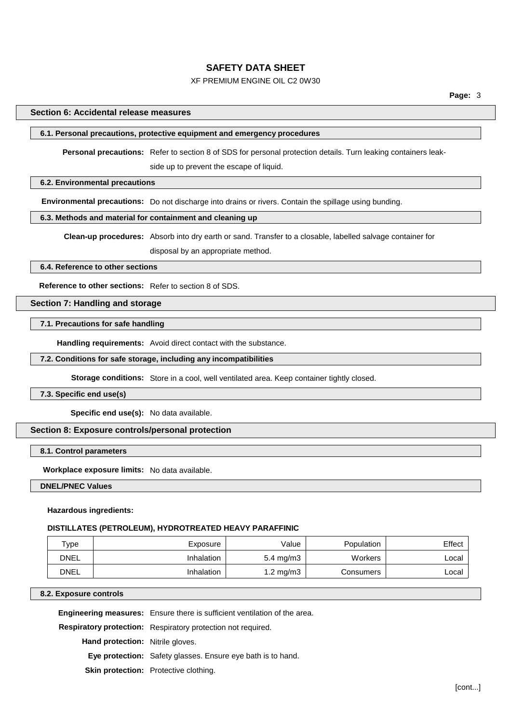## XF PREMIUM ENGINE OIL C2 0W30

## **Section 6: Accidental release measures**

#### **6.1. Personal precautions, protective equipment and emergency procedures**

**Personal precautions:** Refer to section 8 of SDS for personal protection details. Turn leaking containers leak-

side up to prevent the escape of liquid.

## **6.2. Environmental precautions**

**Environmental precautions:** Do not discharge into drains or rivers. Contain the spillage using bunding.

## **6.3. Methods and material for containment and cleaning up**

**Clean-up procedures:** Absorb into dry earth or sand. Transfer to a closable, labelled salvage container for disposal by an appropriate method.

## **6.4. Reference to other sections**

**Reference to other sections:** Refer to section 8 of SDS.

## **Section 7: Handling and storage**

## **7.1. Precautions for safe handling**

**Handling requirements:** Avoid direct contact with the substance.

#### **7.2. Conditions for safe storage, including any incompatibilities**

**Storage conditions:** Store in a cool, well ventilated area. Keep container tightly closed.

## **7.3. Specific end use(s)**

**Specific end use(s):** No data available.

## **Section 8: Exposure controls/personal protection**

## **8.1. Control parameters**

**Workplace exposure limits:** No data available.

**DNEL/PNEC Values**

#### **Hazardous ingredients:**

#### **DISTILLATES (PETROLEUM), HYDROTREATED HEAVY PARAFFINIC**

| $_{Type}$   | Exposure   | Value                | Population | Effect |
|-------------|------------|----------------------|------------|--------|
| <b>DNEL</b> | Inhalation | $5.4 \text{ mg/m}$ 3 | Workers    | ∟ocal  |
| <b>DNEL</b> | Inhalation | 1.2 mg/m3            | Consumers  | Local  |

#### **8.2. Exposure controls**

**Engineering measures:** Ensure there is sufficient ventilation of the area.

**Respiratory protection:** Respiratory protection not required.

**Hand protection:** Nitrile gloves.

**Eye protection:** Safety glasses. Ensure eye bath is to hand.

**Skin protection:** Protective clothing.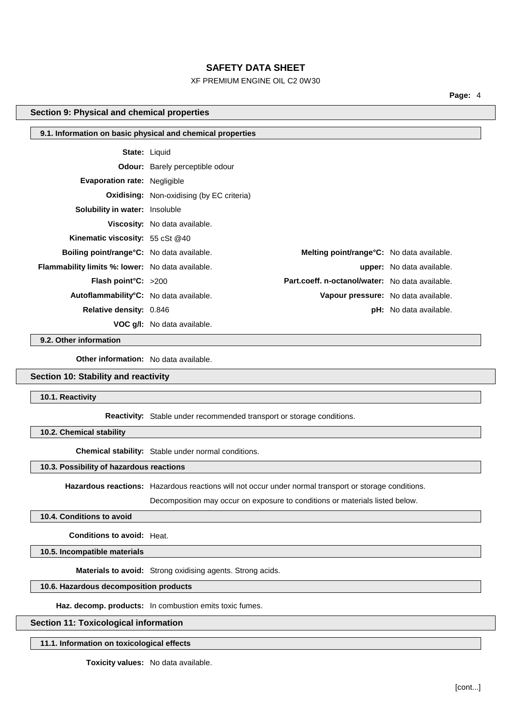## XF PREMIUM ENGINE OIL C2 0W30

**Page:** 4

## **Section 9: Physical and chemical properties**

| 9.1. Information on basic physical and chemical properties |                                                  |                                                 |                                  |
|------------------------------------------------------------|--------------------------------------------------|-------------------------------------------------|----------------------------------|
| <b>State: Liquid</b>                                       |                                                  |                                                 |                                  |
|                                                            |                                                  |                                                 |                                  |
|                                                            | Odour: Barely perceptible odour                  |                                                 |                                  |
| Evaporation rate: Negligible                               |                                                  |                                                 |                                  |
|                                                            | <b>Oxidising:</b> Non-oxidising (by EC criteria) |                                                 |                                  |
| <b>Solubility in water:</b> Insoluble                      |                                                  |                                                 |                                  |
|                                                            | Viscosity: No data available.                    |                                                 |                                  |
| <b>Kinematic viscosity: 55 cSt @40</b>                     |                                                  |                                                 |                                  |
| <b>Boiling point/range °C:</b> No data available.          |                                                  | Melting point/range°C: No data available.       |                                  |
| <b>Flammability limits %: lower:</b> No data available.    |                                                  |                                                 | <b>upper:</b> No data available. |
| <b>Flash point °C:</b> $>200$                              |                                                  | Part.coeff. n-octanol/water: No data available. |                                  |
| Autoflammability <sup>°</sup> C: No data available.        |                                                  | Vapour pressure: No data available.             |                                  |
| <b>Relative density: 0.846</b>                             |                                                  |                                                 | <b>pH:</b> No data available.    |
|                                                            | <b>VOC g/l:</b> No data available.               |                                                 |                                  |

#### **9.2. Other information**

**Other information:** No data available.

## **Section 10: Stability and reactivity**

## **10.1. Reactivity**

**Reactivity:** Stable under recommended transport or storage conditions.

**10.2. Chemical stability**

**Chemical stability:** Stable under normal conditions.

## **10.3. Possibility of hazardous reactions**

**Hazardous reactions:** Hazardous reactions will not occur under normal transport or storage conditions.

Decomposition may occur on exposure to conditions or materials listed below.

## **10.4. Conditions to avoid**

**Conditions to avoid:** Heat.

**10.5. Incompatible materials**

**Materials to avoid:** Strong oxidising agents. Strong acids.

## **10.6. Hazardous decomposition products**

**Haz. decomp. products:** In combustion emits toxic fumes.

## **Section 11: Toxicological information**

**11.1. Information on toxicological effects**

**Toxicity values:** No data available.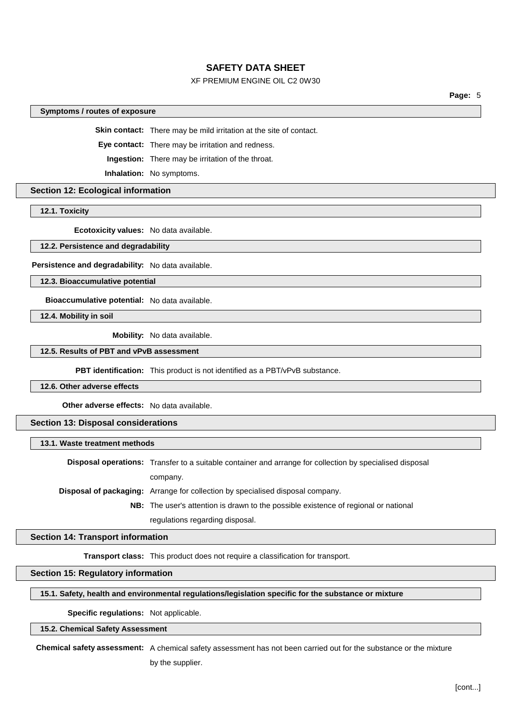## XF PREMIUM ENGINE OIL C2 0W30

**Page:** 5

## **Symptoms / routes of exposure**

**Skin contact:** There may be mild irritation at the site of contact.

**Eye contact:** There may be irritation and redness.

**Ingestion:** There may be irritation of the throat.

**Inhalation:** No symptoms.

#### **Section 12: Ecological information**

**12.1. Toxicity**

**Ecotoxicity values:** No data available.

## **12.2. Persistence and degradability**

**Persistence and degradability:** No data available.

**12.3. Bioaccumulative potential**

**Bioaccumulative potential:** No data available.

**12.4. Mobility in soil**

**Mobility:** No data available.

## **12.5. Results of PBT and vPvB assessment**

**PBT identification:** This product is not identified as a PBT/vPvB substance.

### **12.6. Other adverse effects**

**Other adverse effects:** No data available.

## **Section 13: Disposal considerations**

#### **13.1. Waste treatment methods**

**Disposal operations:** Transfer to a suitable container and arrange for collection by specialised disposal company. **Disposal of packaging:** Arrange for collection by specialised disposal company.

> **NB:** The user's attention is drawn to the possible existence of regional or national regulations regarding disposal.

#### **Section 14: Transport information**

**Transport class:** This product does not require a classification for transport.

## **Section 15: Regulatory information**

#### **15.1. Safety, health and environmental regulations/legislation specific for the substance or mixture**

**Specific regulations:** Not applicable.

#### **15.2. Chemical Safety Assessment**

**Chemical safety assessment:** A chemical safety assessment has not been carried out for the substance or the mixture

by the supplier.